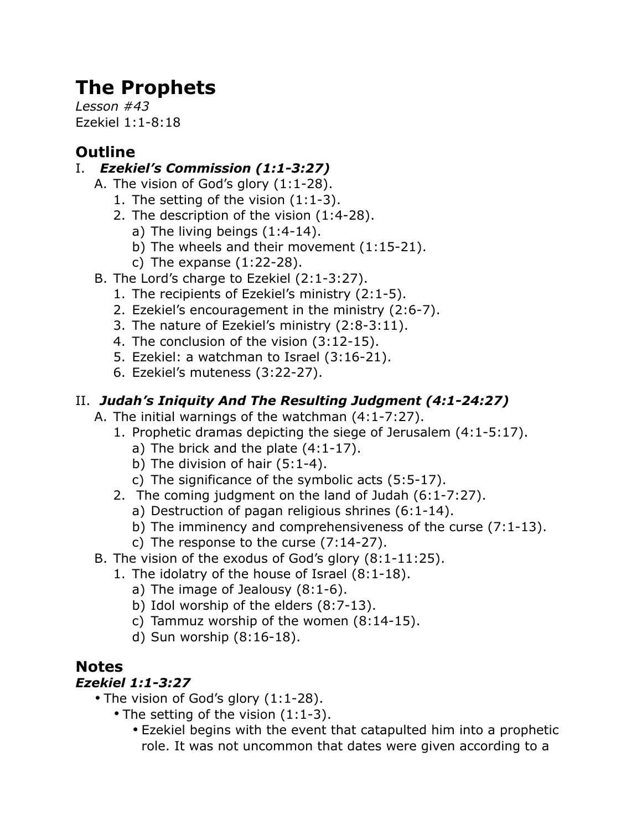# **The Prophets**

*Lesson #43* Ezekiel 1:1-8:18

## **Outline**

#### I. *Ezekiel's Commission (1:1-3:27)*

- A. The vision of God's glory (1:1-28).
	- 1. The setting of the vision (1:1-3).
	- 2. The description of the vision (1:4-28).
		- a) The living beings (1:4-14).
		- b) The wheels and their movement (1:15-21).
		- c) The expanse (1:22-28).
- B. The Lord's charge to Ezekiel (2:1-3:27).
	- 1. The recipients of Ezekiel's ministry (2:1-5).
	- 2. Ezekiel's encouragement in the ministry (2:6-7).
	- 3. The nature of Ezekiel's ministry (2:8-3:11).
	- 4. The conclusion of the vision (3:12-15).
	- 5. Ezekiel: a watchman to Israel (3:16-21).
	- 6. Ezekiel's muteness (3:22-27).

### II. *Judah's Iniquity And The Resulting Judgment (4:1-24:27)*

- A. The initial warnings of the watchman (4:1-7:27).
	- 1. Prophetic dramas depicting the siege of Jerusalem (4:1-5:17).
		- a) The brick and the plate (4:1-17).
		- b) The division of hair (5:1-4).
		- c) The significance of the symbolic acts (5:5-17).
	- 2. The coming judgment on the land of Judah (6:1-7:27).
		- a) Destruction of pagan religious shrines (6:1-14).
		- b) The imminency and comprehensiveness of the curse (7:1-13).
		- c) The response to the curse (7:14-27).
- B. The vision of the exodus of God's glory (8:1-11:25).
	- 1. The idolatry of the house of Israel (8:1-18).
		- a) The image of Jealousy (8:1-6).
		- b) Idol worship of the elders (8:7-13).
		- c) Tammuz worship of the women (8:14-15).
		- d) Sun worship (8:16-18).

## **Notes**

#### *Ezekiel 1:1-3:27*

- The vision of God's glory (1:1-28).
	- The setting of the vision (1:1-3).
		- Ezekiel begins with the event that catapulted him into a prophetic role. It was not uncommon that dates were given according to a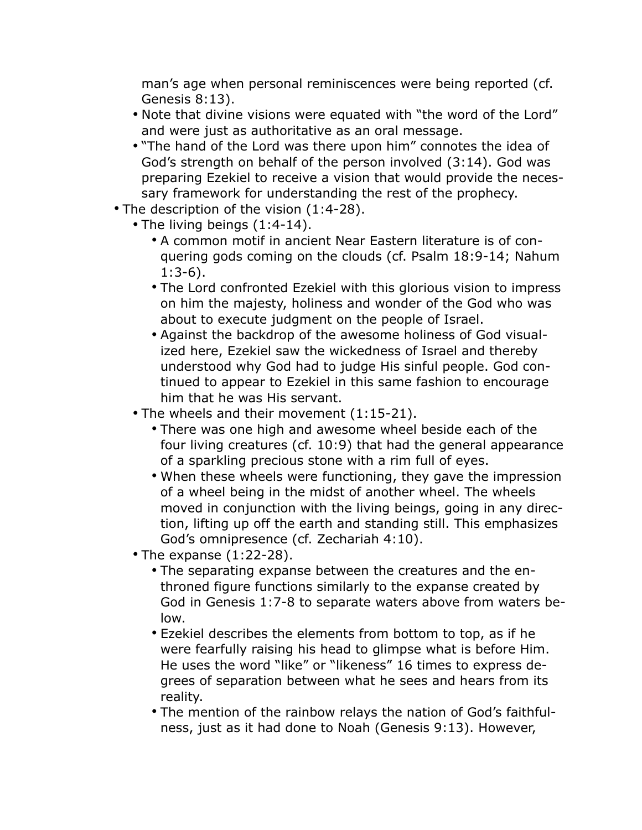man's age when personal reminiscences were being reported (cf. Genesis 8:13).

- Note that divine visions were equated with "the word of the Lord" and were just as authoritative as an oral message.
- "The hand of the Lord was there upon him" connotes the idea of God's strength on behalf of the person involved (3:14). God was preparing Ezekiel to receive a vision that would provide the necessary framework for understanding the rest of the prophecy.
- The description of the vision (1:4-28).
	- The living beings (1:4-14).
		- A common motif in ancient Near Eastern literature is of conquering gods coming on the clouds (cf. Psalm 18:9-14; Nahum 1:3-6).
		- The Lord confronted Ezekiel with this glorious vision to impress on him the majesty, holiness and wonder of the God who was about to execute judgment on the people of Israel.
		- Against the backdrop of the awesome holiness of God visualized here, Ezekiel saw the wickedness of Israel and thereby understood why God had to judge His sinful people. God continued to appear to Ezekiel in this same fashion to encourage him that he was His servant.
	- The wheels and their movement (1:15-21).
		- There was one high and awesome wheel beside each of the four living creatures (cf. 10:9) that had the general appearance of a sparkling precious stone with a rim full of eyes.
		- When these wheels were functioning, they gave the impression of a wheel being in the midst of another wheel. The wheels moved in conjunction with the living beings, going in any direction, lifting up off the earth and standing still. This emphasizes God's omnipresence (cf. Zechariah 4:10).
	- The expanse (1:22-28).
		- The separating expanse between the creatures and the enthroned figure functions similarly to the expanse created by God in Genesis 1:7-8 to separate waters above from waters below.
		- Ezekiel describes the elements from bottom to top, as if he were fearfully raising his head to glimpse what is before Him. He uses the word "like" or "likeness" 16 times to express degrees of separation between what he sees and hears from its reality.
		- The mention of the rainbow relays the nation of God's faithfulness, just as it had done to Noah (Genesis 9:13). However,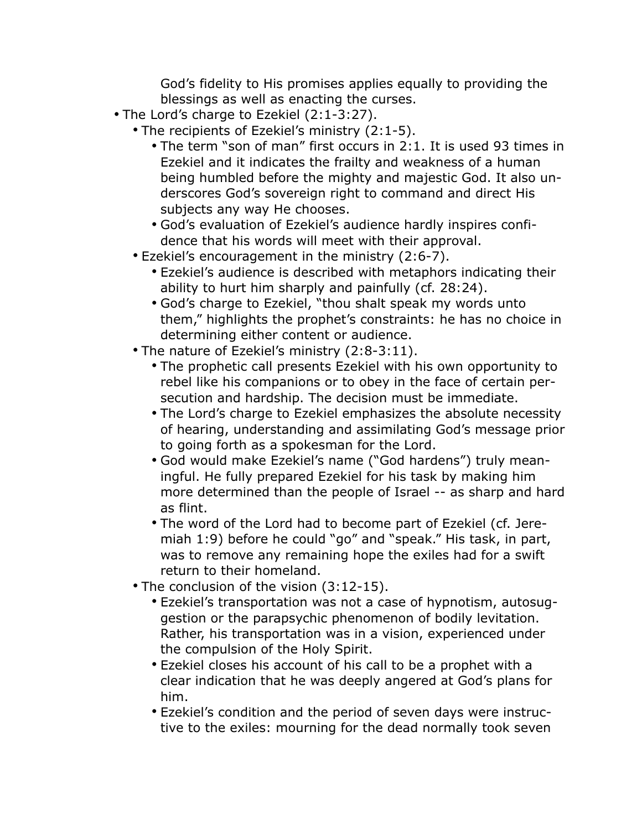God's fidelity to His promises applies equally to providing the blessings as well as enacting the curses.

- The Lord's charge to Ezekiel (2:1-3:27).
	- The recipients of Ezekiel's ministry (2:1-5).
		- The term "son of man" first occurs in 2:1. It is used 93 times in Ezekiel and it indicates the frailty and weakness of a human being humbled before the mighty and majestic God. It also underscores God's sovereign right to command and direct His subjects any way He chooses.
		- God's evaluation of Ezekiel's audience hardly inspires confidence that his words will meet with their approval.
	- Ezekiel's encouragement in the ministry (2:6-7).
		- Ezekiel's audience is described with metaphors indicating their ability to hurt him sharply and painfully (cf. 28:24).
		- God's charge to Ezekiel, "thou shalt speak my words unto them," highlights the prophet's constraints: he has no choice in determining either content or audience.
	- The nature of Ezekiel's ministry (2:8-3:11).
		- The prophetic call presents Ezekiel with his own opportunity to rebel like his companions or to obey in the face of certain persecution and hardship. The decision must be immediate.
		- The Lord's charge to Ezekiel emphasizes the absolute necessity of hearing, understanding and assimilating God's message prior to going forth as a spokesman for the Lord.
		- God would make Ezekiel's name ("God hardens") truly meaningful. He fully prepared Ezekiel for his task by making him more determined than the people of Israel -- as sharp and hard as flint.
		- The word of the Lord had to become part of Ezekiel (cf. Jeremiah 1:9) before he could "go" and "speak." His task, in part, was to remove any remaining hope the exiles had for a swift return to their homeland.
	- The conclusion of the vision (3:12-15).
		- Ezekiel's transportation was not a case of hypnotism, autosuggestion or the parapsychic phenomenon of bodily levitation. Rather, his transportation was in a vision, experienced under the compulsion of the Holy Spirit.
		- Ezekiel closes his account of his call to be a prophet with a clear indication that he was deeply angered at God's plans for him.
		- Ezekiel's condition and the period of seven days were instructive to the exiles: mourning for the dead normally took seven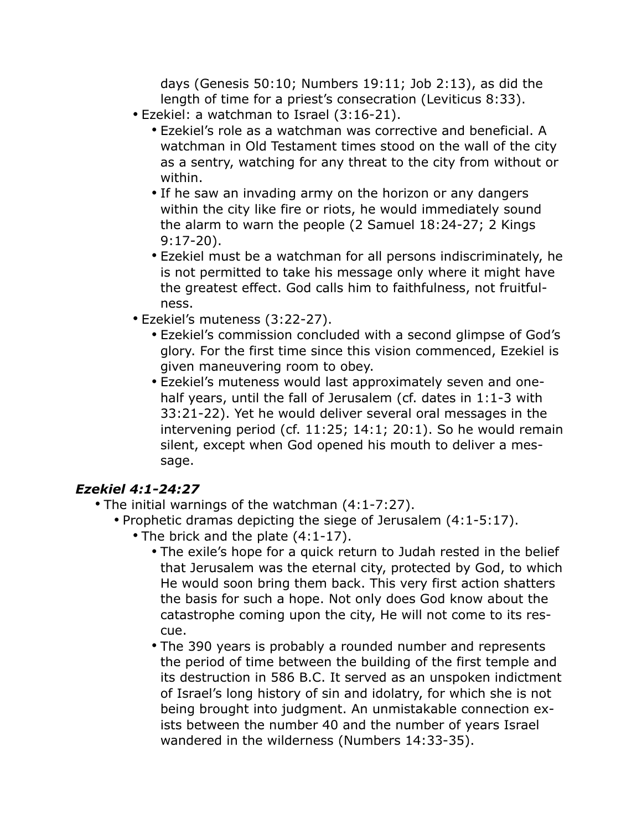days (Genesis 50:10; Numbers 19:11; Job 2:13), as did the length of time for a priest's consecration (Leviticus 8:33).

- Ezekiel: a watchman to Israel (3:16-21).
	- Ezekiel's role as a watchman was corrective and beneficial. A watchman in Old Testament times stood on the wall of the city as a sentry, watching for any threat to the city from without or within.
	- If he saw an invading army on the horizon or any dangers within the city like fire or riots, he would immediately sound the alarm to warn the people (2 Samuel 18:24-27; 2 Kings 9:17-20).
	- Ezekiel must be a watchman for all persons indiscriminately, he is not permitted to take his message only where it might have the greatest effect. God calls him to faithfulness, not fruitfulness.
- Ezekiel's muteness (3:22-27).
	- Ezekiel's commission concluded with a second glimpse of God's glory. For the first time since this vision commenced, Ezekiel is given maneuvering room to obey.
	- Ezekiel's muteness would last approximately seven and onehalf years, until the fall of Jerusalem (cf. dates in 1:1-3 with 33:21-22). Yet he would deliver several oral messages in the intervening period (cf. 11:25; 14:1; 20:1). So he would remain silent, except when God opened his mouth to deliver a message.

#### *Ezekiel 4:1-24:27*

- The initial warnings of the watchman (4:1-7:27).
	- Prophetic dramas depicting the siege of Jerusalem (4:1-5:17).
		- The brick and the plate  $(4:1-17)$ .
			- The exile's hope for a quick return to Judah rested in the belief that Jerusalem was the eternal city, protected by God, to which He would soon bring them back. This very first action shatters the basis for such a hope. Not only does God know about the catastrophe coming upon the city, He will not come to its rescue.
			- The 390 years is probably a rounded number and represents the period of time between the building of the first temple and its destruction in 586 B.C. It served as an unspoken indictment of Israel's long history of sin and idolatry, for which she is not being brought into judgment. An unmistakable connection exists between the number 40 and the number of years Israel wandered in the wilderness (Numbers 14:33-35).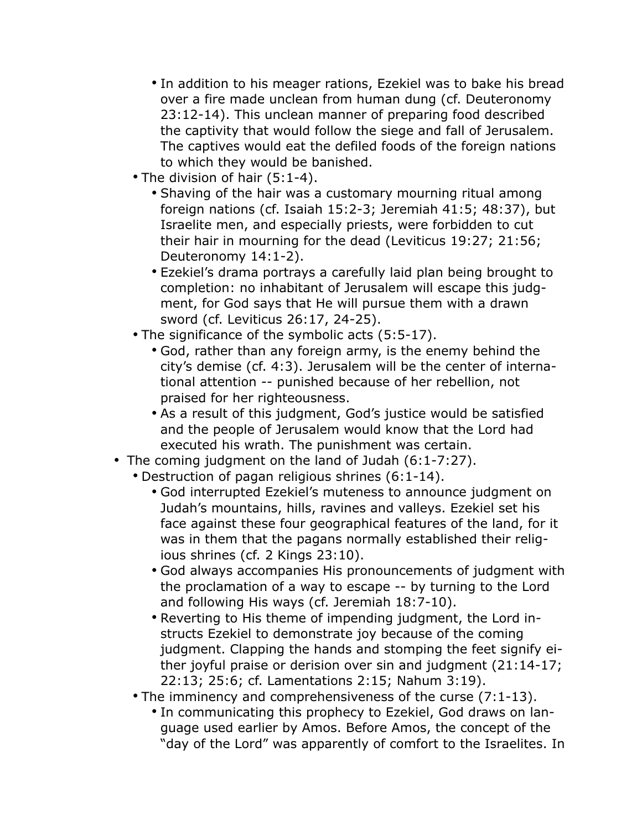- In addition to his meager rations, Ezekiel was to bake his bread over a fire made unclean from human dung (cf. Deuteronomy 23:12-14). This unclean manner of preparing food described the captivity that would follow the siege and fall of Jerusalem. The captives would eat the defiled foods of the foreign nations to which they would be banished.
- The division of hair (5:1-4).
	- Shaving of the hair was a customary mourning ritual among foreign nations (cf. Isaiah 15:2-3; Jeremiah 41:5; 48:37), but Israelite men, and especially priests, were forbidden to cut their hair in mourning for the dead (Leviticus 19:27; 21:56; Deuteronomy 14:1-2).
	- Ezekiel's drama portrays a carefully laid plan being brought to completion: no inhabitant of Jerusalem will escape this judgment, for God says that He will pursue them with a drawn sword (cf. Leviticus 26:17, 24-25).
- The significance of the symbolic acts (5:5-17).
	- God, rather than any foreign army, is the enemy behind the city's demise (cf. 4:3). Jerusalem will be the center of international attention -- punished because of her rebellion, not praised for her righteousness.
	- As a result of this judgment, God's justice would be satisfied and the people of Jerusalem would know that the Lord had executed his wrath. The punishment was certain.
- The coming judgment on the land of Judah (6:1-7:27).
	- Destruction of pagan religious shrines (6:1-14).
		- God interrupted Ezekiel's muteness to announce judgment on Judah's mountains, hills, ravines and valleys. Ezekiel set his face against these four geographical features of the land, for it was in them that the pagans normally established their religious shrines (cf. 2 Kings 23:10).
		- God always accompanies His pronouncements of judgment with the proclamation of a way to escape -- by turning to the Lord and following His ways (cf. Jeremiah 18:7-10).
		- Reverting to His theme of impending judgment, the Lord instructs Ezekiel to demonstrate joy because of the coming judgment. Clapping the hands and stomping the feet signify either joyful praise or derision over sin and judgment (21:14-17; 22:13; 25:6; cf. Lamentations 2:15; Nahum 3:19).
	- The imminency and comprehensiveness of the curse (7:1-13).
		- In communicating this prophecy to Ezekiel, God draws on language used earlier by Amos. Before Amos, the concept of the "day of the Lord" was apparently of comfort to the Israelites. In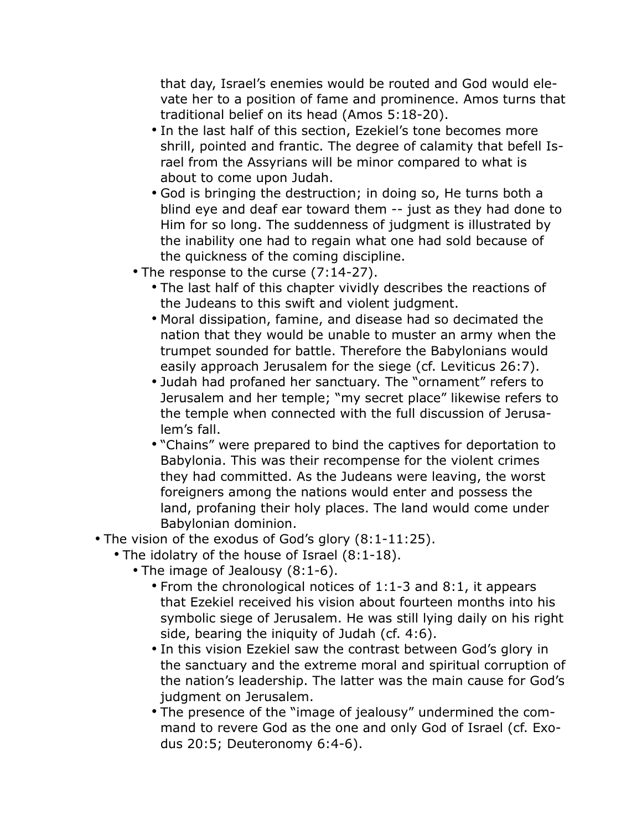that day, Israel's enemies would be routed and God would elevate her to a position of fame and prominence. Amos turns that traditional belief on its head (Amos 5:18-20).

- In the last half of this section, Ezekiel's tone becomes more shrill, pointed and frantic. The degree of calamity that befell Israel from the Assyrians will be minor compared to what is about to come upon Judah.
- God is bringing the destruction; in doing so, He turns both a blind eye and deaf ear toward them -- just as they had done to Him for so long. The suddenness of judgment is illustrated by the inability one had to regain what one had sold because of the quickness of the coming discipline.
- The response to the curse (7:14-27).
	- The last half of this chapter vividly describes the reactions of the Judeans to this swift and violent judgment.
	- Moral dissipation, famine, and disease had so decimated the nation that they would be unable to muster an army when the trumpet sounded for battle. Therefore the Babylonians would easily approach Jerusalem for the siege (cf. Leviticus 26:7).
	- Judah had profaned her sanctuary. The "ornament" refers to Jerusalem and her temple; "my secret place" likewise refers to the temple when connected with the full discussion of Jerusalem's fall.
	- "Chains" were prepared to bind the captives for deportation to Babylonia. This was their recompense for the violent crimes they had committed. As the Judeans were leaving, the worst foreigners among the nations would enter and possess the land, profaning their holy places. The land would come under Babylonian dominion.
- The vision of the exodus of God's glory (8:1-11:25).
	- The idolatry of the house of Israel (8:1-18).
		- The image of Jealousy (8:1-6).
			- From the chronological notices of 1:1-3 and 8:1, it appears that Ezekiel received his vision about fourteen months into his symbolic siege of Jerusalem. He was still lying daily on his right side, bearing the iniquity of Judah (cf. 4:6).
			- In this vision Ezekiel saw the contrast between God's glory in the sanctuary and the extreme moral and spiritual corruption of the nation's leadership. The latter was the main cause for God's judgment on Jerusalem.
			- The presence of the "image of jealousy" undermined the command to revere God as the one and only God of Israel (cf. Exodus 20:5; Deuteronomy 6:4-6).